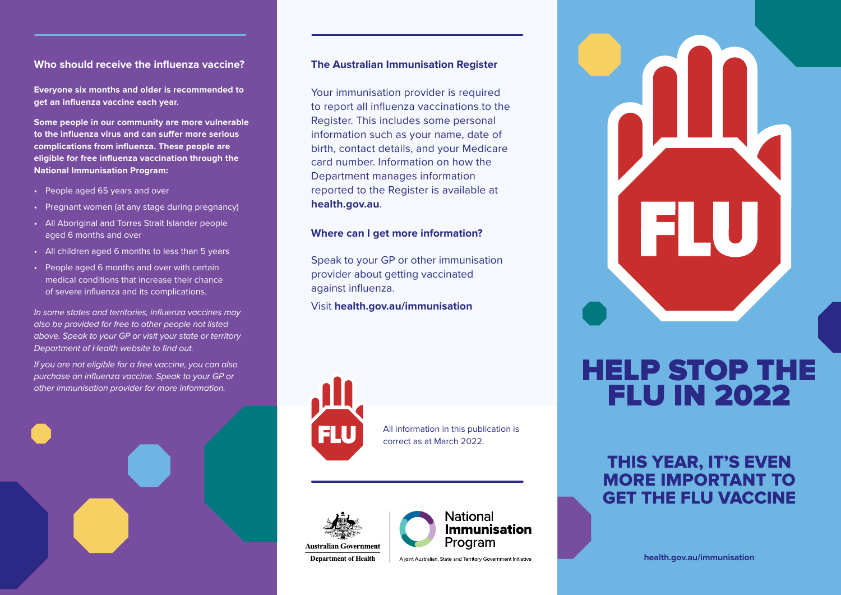# **Who should receive the infuenza vaccine?**

**Everyone six months and older is recommended to get an infuenza vaccine each year.** 

**Some people in our community are more vulnerable to the infuenza virus and can sufer more serious complications from infuenza. These people are eligible for free infuenza vaccination through the National Immunisation Program:** 

- People aged 65 years and over
- Pregnant women (at any stage during pregnancy)
- All Aboriginal and Torres Strait Islander people aged 6 months and over
- All children aged 6 months to less than 5 years
- People aged 6 months and over with certain medical conditions that increase their chance of severe infuenza and its complications.

*In some states and territories, infuenza vaccines may also be provided for free to other people not listed above. Speak to your GP or visit your state or territory*  **Department of Health website to find out.** 

*If you are not eligible for a free vaccine, you can also purchase an infuenza vaccine. Speak to your GP or other immunisation provider for more information.* 



# **The Australian Immunisation Register**

Your immunisation provider is required to report all infuenza vaccinations to the Register. This includes some personal information such as your name, date of birth, contact details, and your Medicare card number. Information on how the Department manages information reported to the Register is available at **health.gov.au**.

## **Where can I get more information?**

Speak to your GP or other immunisation provider about getting vaccinated against infuenza.

Visit **[health.gov.au/immunisation](http://health.gov.au/immunisation)** 



All information in this publication is correct as at March 2022.





A joint Australian, State and Territory Government Initiative



# HELP STOP THE **FLU IN 2022**

# THIS YEAR, IT'S EVEN MORE IMPORTANT TO GET THE FLU VACCINE